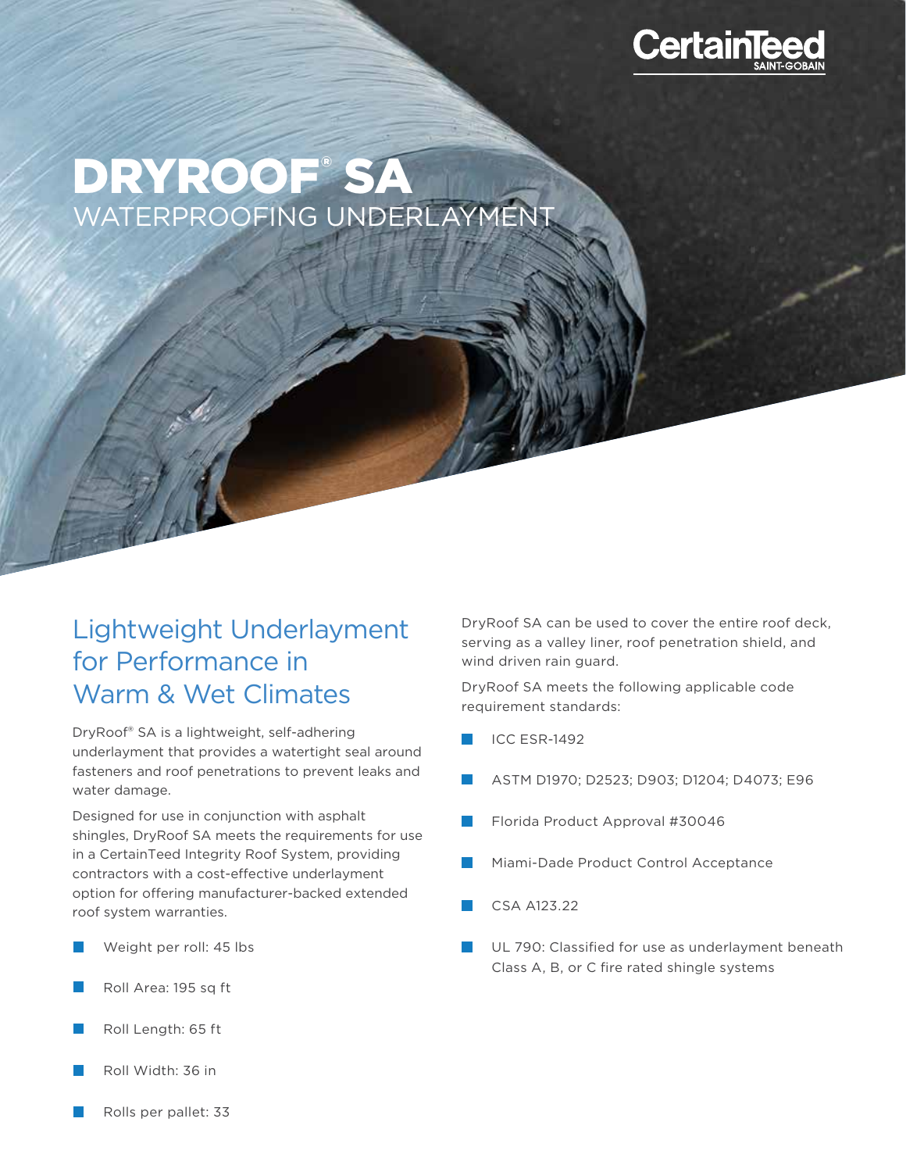

# DRYROOF® SA WATERPROOFING UNDERLAYMENT

## Lightweight Underlayment for Performance in Warm & Wet Climates

DryRoof<sup>®</sup> SA is a lightweight, self-adhering<br>
ICC ESR-1492 underlayment that provides a watertight seal around fasteners and roof penetrations to prevent leaks and water damage.

Designed for use in conjunction with asphalt shingles, DryRoof SA meets the requirements for use in a CertainTeed Integrity Roof System, providing contractors with a cost-effective underlayment option for offering manufacturer-backed extended roof system warranties.

- Weight per roll: 45 lbs **College**
- Roll Area: 195 sq ft
- Roll Length: 65 ft
- Roll Width: 36 in

DryRoof SA can be used to cover the entire roof deck, serving as a valley liner, roof penetration shield, and wind driven rain guard.

DryRoof SA meets the following applicable code requirement standards:

- 
- ASTM D1970; D2523; D903; D1204; D4073; E96
- **The State** Florida Product Approval #30046
- Miami-Dade Product Control Acceptance
- CSA A123.22
- **UL 790: Classified for use as underlayment beneath** Class A, B, or C fire rated shingle systems

Rolls per pallet: 33